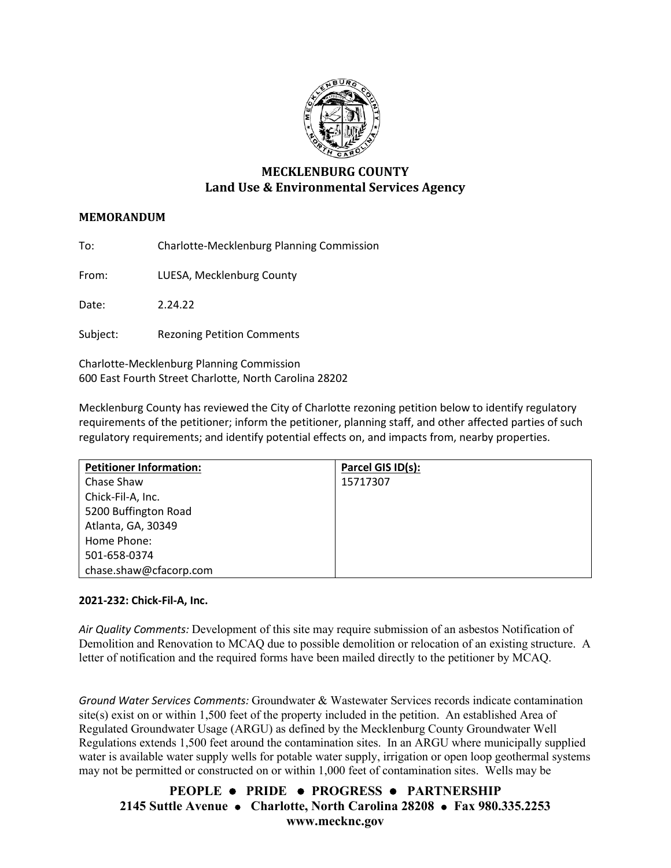

# **MECKLENBURG COUNTY Land Use & Environmental Services Agency**

## **MEMORANDUM**

To: Charlotte-Mecklenburg Planning Commission

From: LUESA, Mecklenburg County

Date: 2.24.22

Subject: Rezoning Petition Comments

Charlotte-Mecklenburg Planning Commission 600 East Fourth Street Charlotte, North Carolina 28202

Mecklenburg County has reviewed the City of Charlotte rezoning petition below to identify regulatory requirements of the petitioner; inform the petitioner, planning staff, and other affected parties of such regulatory requirements; and identify potential effects on, and impacts from, nearby properties.

| <b>Petitioner Information:</b> | Parcel GIS ID(s): |
|--------------------------------|-------------------|
| Chase Shaw                     | 15717307          |
| Chick-Fil-A, Inc.              |                   |
| 5200 Buffington Road           |                   |
| Atlanta, GA, 30349             |                   |
| Home Phone:                    |                   |
| 501-658-0374                   |                   |
| chase.shaw@cfacorp.com         |                   |

## **2021-232: Chick-Fil-A, Inc.**

*Air Quality Comments:* Development of this site may require submission of an asbestos Notification of Demolition and Renovation to MCAQ due to possible demolition or relocation of an existing structure. A letter of notification and the required forms have been mailed directly to the petitioner by MCAQ.

*Ground Water Services Comments:* Groundwater & Wastewater Services records indicate contamination site(s) exist on or within 1,500 feet of the property included in the petition. An established Area of Regulated Groundwater Usage (ARGU) as defined by the Mecklenburg County Groundwater Well Regulations extends 1,500 feet around the contamination sites. In an ARGU where municipally supplied water is available water supply wells for potable water supply, irrigation or open loop geothermal systems may not be permitted or constructed on or within 1,000 feet of contamination sites. Wells may be

**PEOPLE PRIDE PROGRESS PARTNERSHIP 2145 Suttle Avenue Charlotte, North Carolina 28208 Fax 980.335.2253 www.mecknc.gov**